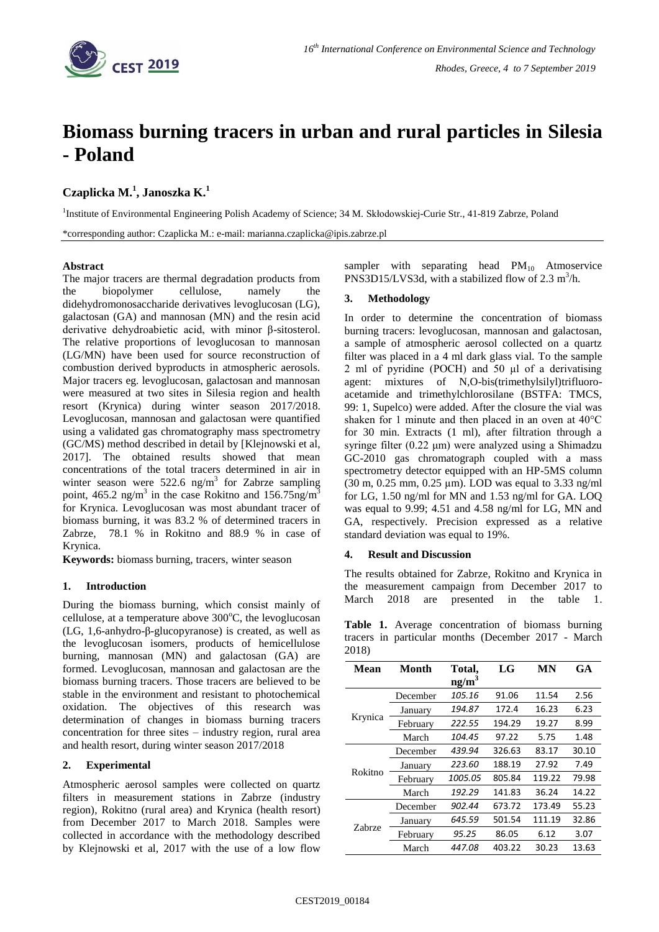

# **Biomass burning tracers in urban and rural particles in Silesia - Poland**

## **Czaplicka M.<sup>1</sup> , Janoszka K.<sup>1</sup>**

<sup>1</sup>Institute of Environmental Engineering Polish Academy of Science; 34 M. Skłodowskiej-Curie Str., 41-819 Zabrze, Poland \*corresponding author: Czaplicka M.: e-mail: marianna.czaplicka@ipis.zabrze.pl

## **Abstract**

The major tracers are thermal degradation products from the biopolymer cellulose, namely the didehydromonosaccharide derivatives levoglucosan (LG), galactosan (GA) and mannosan (MN) and the resin acid derivative dehydroabietic acid, with minor β-sitosterol. The relative proportions of levoglucosan to mannosan (LG/MN) have been used for source reconstruction of combustion derived byproducts in atmospheric aerosols. Major tracers eg. levoglucosan, galactosan and mannosan were measured at two sites in Silesia region and health resort (Krynica) during winter season 2017/2018. Levoglucosan, mannosan and galactosan were quantified using a validated gas chromatography mass spectrometry (GC/MS) method described in detail by [Klejnowski et al, 2017]. The obtained results showed that mean concentrations of the total tracers determined in air in winter season were  $522.6$  ng/m<sup>3</sup> for Zabrze sampling point, 465.2 ng/m<sup>3</sup> in the case Rokitno and 156.75ng/m<sup>3</sup> for Krynica. Levoglucosan was most abundant tracer of biomass burning, it was 83.2 % of determined tracers in Zabrze, 78.1 % in Rokitno and 88.9 % in case of Krynica.

**Keywords:** biomass burning, tracers, winter season

## **1. Introduction**

During the biomass burning, which consist mainly of cellulose, at a temperature above  $300^{\circ}$ C, the levoglucosan (LG, 1,6-anhydro-β-glucopyranose) is created, as well as the levoglucosan isomers, products of hemicellulose burning, mannosan (MN) and galactosan (GA) are formed. Levoglucosan, mannosan and galactosan are the biomass burning tracers. Those tracers are believed to be stable in the environment and resistant to photochemical oxidation. The objectives of this research was determination of changes in biomass burning tracers concentration for three sites – industry region, rural area and health resort, during winter season 2017/2018

## **2. Experimental**

Atmospheric aerosol samples were collected on quartz filters in measurement stations in Zabrze (industry region), Rokitno (rural area) and Krynica (health resort) from December 2017 to March 2018. Samples were collected in accordance with the methodology described by Klejnowski et al, 2017 with the use of a low flow sampler with separating head  $PM_{10}$  Atmoservice PNS3D15/LVS3d, with a stabilized flow of 2.3  $m^3/h$ .

#### **3. Methodology**

In order to determine the concentration of biomass burning tracers: levoglucosan, mannosan and galactosan, a sample of atmospheric aerosol collected on a quartz filter was placed in a 4 ml dark glass vial. To the sample 2 ml of pyridine (POCH) and 50 μl of a derivatising agent: mixtures of N,O-bis(trimethylsilyl)trifluoroacetamide and trimethylchlorosilane (BSTFA: TMCS, 99: 1, Supelco) were added. After the closure the vial was shaken for 1 minute and then placed in an oven at 40°C for 30 min. Extracts (1 ml), after filtration through a syringe filter (0.22 μm) were analyzed using a Shimadzu GC-2010 gas chromatograph coupled with a mass spectrometry detector equipped with an HP-5MS column (30 m, 0.25 mm, 0.25 µm). LOD was equal to 3.33 ng/ml for LG, 1.50 ng/ml for MN and 1.53 ng/ml for GA. LOQ was equal to 9.99; 4.51 and 4.58 ng/ml for LG, MN and GA, respectively. Precision expressed as a relative standard deviation was equal to 19%.

#### **4. Result and Discussion**

The results obtained for Zabrze, Rokitno and Krynica in the measurement campaign from December 2017 to March 2018 are presented in the table 1.

|       | <b>Table 1.</b> Average concentration of biomass burning |  |  |  |
|-------|----------------------------------------------------------|--|--|--|
|       | tracers in particular months (December 2017 - March      |  |  |  |
| 2018) |                                                          |  |  |  |

| Mean    | Month    | Total,<br>ng/m <sup>3</sup> | LG     | MN     | GA    |
|---------|----------|-----------------------------|--------|--------|-------|
| Krynica | December | 105.16                      | 91.06  | 11.54  | 2.56  |
|         | January  | 194.87                      | 172.4  | 16.23  | 6.23  |
|         | February | 222.55                      | 194.29 | 19.27  | 8.99  |
|         | March    | 104.45                      | 97.22  | 5.75   | 1.48  |
| Rokitno | December | 439.94                      | 326.63 | 83.17  | 30.10 |
|         | January  | 223.60                      | 188.19 | 27.92  | 7.49  |
|         | February | 1005.05                     | 805.84 | 119.22 | 79.98 |
|         | March    | 192.29                      | 141.83 | 36.24  | 14.22 |
| Zahrze  | December | 902.44                      | 673.72 | 173.49 | 55.23 |
|         | January  | 645.59                      | 501.54 | 111.19 | 32.86 |
|         | February | 95.25                       | 86.05  | 6.12   | 3.07  |
|         | March    | 447.08                      | 403.22 | 30.23  | 13.63 |